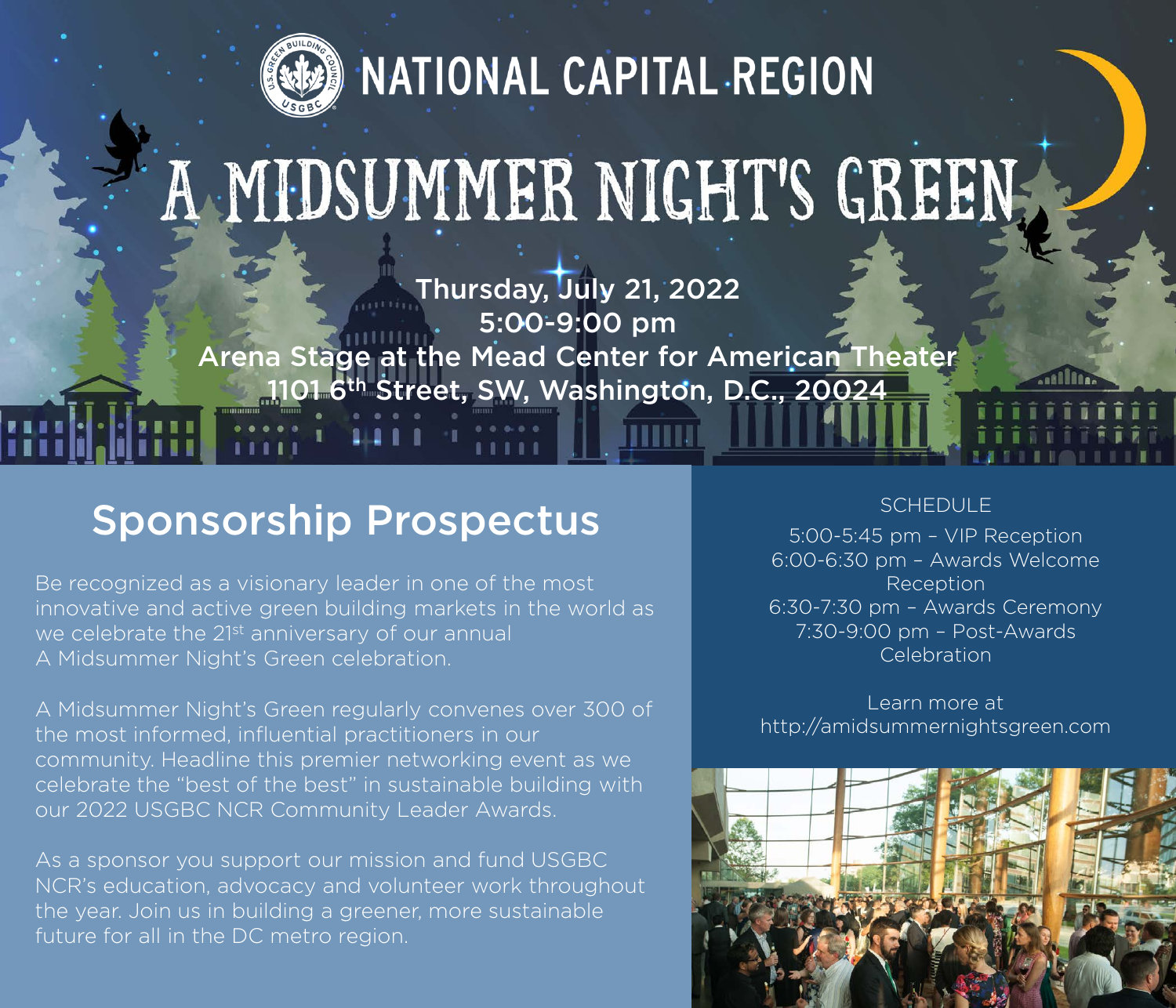

NATIONAL CAPITAL REGION

## A MIDSUMMER NIGHT'S GREEN,

Thursday, July 21, 2022 5:00-9:00 pm Arena Stage at the Mead Center for American Theater 1101 6th Street, SW, Washington, D.C., 20024

## Sponsorship Prospectus

Be recognized as a visionary leader in one of the most innovative and active green building markets in the world as we celebrate the 21<sup>st</sup> anniversary of our annual A Midsummer Night's Green celebration.

A Midsummer Night's Green regularly convenes over 300 of the most informed, influential practitioners in our community. Headline this premier networking event as we celebrate the "best of the best" in sustainable building with our 2022 USGBC NCR Community Leader Awards.

As a sponsor you support our mission and fund USGBC NCR's education, advocacy and volunteer work throughout the year. Join us in building a greener, more sustainable future for all in the DC metro region.

## **SCHEDULE**

5:00-5:45 pm – VIP Reception 6:00-6:30 pm – Awards Welcome **Reception** 6:30-7:30 pm – Awards Ceremony 7:30-9:00 pm – Post-Awards Celebration

Learn more at http://amidsummernightsgreen.com